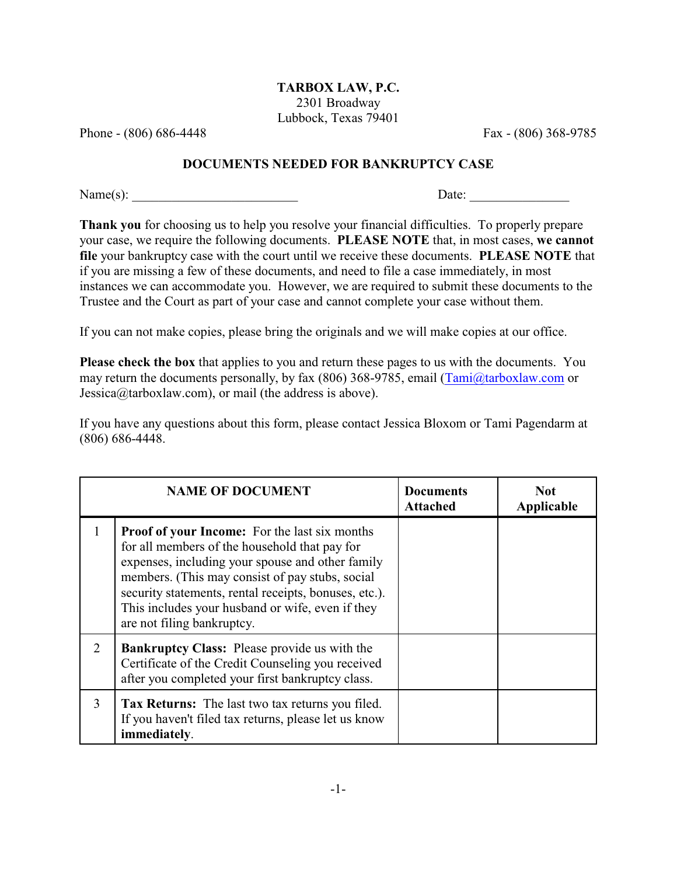## **TARBOX LAW, P.C.** 2301 Broadway Lubbock, Texas 79401

Phone - (806) 686-4448 Fax - (806) 368-9785

## **DOCUMENTS NEEDED FOR BANKRUPTCY CASE**

Name(s): \_\_\_\_\_\_\_\_\_\_\_\_\_\_\_\_\_\_\_\_\_\_\_\_\_ Date: \_\_\_\_\_\_\_\_\_\_\_\_\_\_\_

**Thank you** for choosing us to help you resolve your financial difficulties. To properly prepare your case, we require the following documents. **PLEASE NOTE** that, in most cases, **we cannot file** your bankruptcy case with the court until we receive these documents. **PLEASE NOTE** that if you are missing a few of these documents, and need to file a case immediately, in most instances we can accommodate you. However, we are required to submit these documents to the Trustee and the Court as part of your case and cannot complete your case without them.

If you can not make copies, please bring the originals and we will make copies at our office.

**Please check the box** that applies to you and return these pages to us with the documents. You may return the documents personally, by fax (806) 368-9785, email [\(Tami@tarboxlaw.com](mailto:Tami@tarboxlaw.com) or Jessica@tarboxlaw.com), or mail (the address is above).

If you have any questions about this form, please contact Jessica Bloxom or Tami Pagendarm at (806) 686-4448.

|   | <b>NAME OF DOCUMENT</b>                                                                                                                                                                                                                                                                                                                                 | <b>Documents</b><br>Attached | Not.<br>Applicable |
|---|---------------------------------------------------------------------------------------------------------------------------------------------------------------------------------------------------------------------------------------------------------------------------------------------------------------------------------------------------------|------------------------------|--------------------|
|   | <b>Proof of your Income:</b> For the last six months<br>for all members of the household that pay for<br>expenses, including your spouse and other family<br>members. (This may consist of pay stubs, social<br>security statements, rental receipts, bonuses, etc.).<br>This includes your husband or wife, even if they<br>are not filing bankruptcy. |                              |                    |
| 2 | <b>Bankruptcy Class:</b> Please provide us with the<br>Certificate of the Credit Counseling you received<br>after you completed your first bankruptcy class.                                                                                                                                                                                            |                              |                    |
| 3 | <b>Tax Returns:</b> The last two tax returns you filed.<br>If you haven't filed tax returns, please let us know<br>immediately.                                                                                                                                                                                                                         |                              |                    |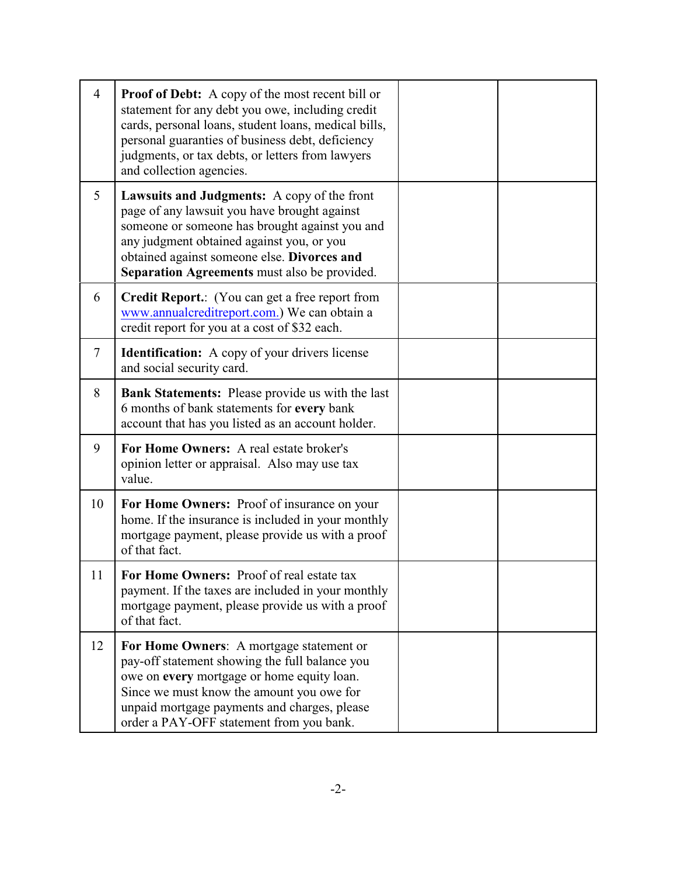| $\overline{4}$ | <b>Proof of Debt:</b> A copy of the most recent bill or<br>statement for any debt you owe, including credit<br>cards, personal loans, student loans, medical bills,<br>personal guaranties of business debt, deficiency<br>judgments, or tax debts, or letters from lawyers<br>and collection agencies. |  |
|----------------|---------------------------------------------------------------------------------------------------------------------------------------------------------------------------------------------------------------------------------------------------------------------------------------------------------|--|
| 5              | <b>Lawsuits and Judgments:</b> A copy of the front<br>page of any lawsuit you have brought against<br>someone or someone has brought against you and<br>any judgment obtained against you, or you<br>obtained against someone else. Divorces and<br>Separation Agreements must also be provided.        |  |
| 6              | <b>Credit Report.:</b> (You can get a free report from<br>www.annualcreditreport.com.) We can obtain a<br>credit report for you at a cost of \$32 each.                                                                                                                                                 |  |
| $\overline{7}$ | <b>Identification:</b> A copy of your drivers license<br>and social security card.                                                                                                                                                                                                                      |  |
| 8              | <b>Bank Statements:</b> Please provide us with the last<br>6 months of bank statements for every bank<br>account that has you listed as an account holder.                                                                                                                                              |  |
| 9              | For Home Owners: A real estate broker's<br>opinion letter or appraisal. Also may use tax<br>value.                                                                                                                                                                                                      |  |
| 10             | For Home Owners: Proof of insurance on your<br>home. If the insurance is included in your monthly<br>mortgage payment, please provide us with a proof<br>of that fact.                                                                                                                                  |  |
| 11             | For Home Owners: Proof of real estate tax<br>payment. If the taxes are included in your monthly<br>mortgage payment, please provide us with a proof<br>of that fact.                                                                                                                                    |  |
| 12             | For Home Owners: A mortgage statement or<br>pay-off statement showing the full balance you<br>owe on every mortgage or home equity loan.<br>Since we must know the amount you owe for<br>unpaid mortgage payments and charges, please<br>order a PAY-OFF statement from you bank.                       |  |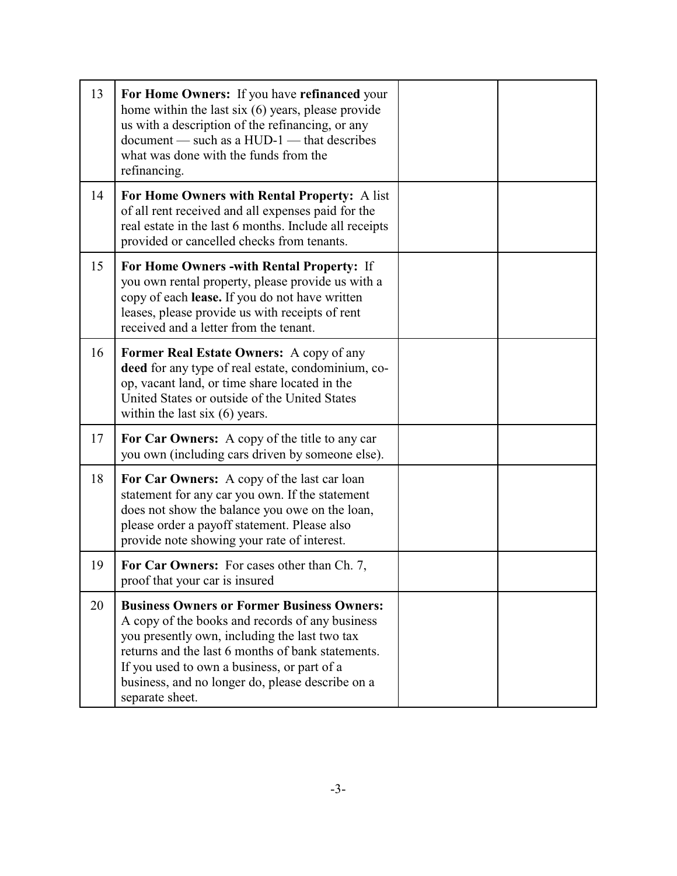| 13 | For Home Owners: If you have refinanced your<br>home within the last six (6) years, please provide<br>us with a description of the refinancing, or any<br>document — such as a HUD-1 — that describes<br>what was done with the funds from the<br>refinancing.                                                                   |  |
|----|----------------------------------------------------------------------------------------------------------------------------------------------------------------------------------------------------------------------------------------------------------------------------------------------------------------------------------|--|
| 14 | For Home Owners with Rental Property: A list<br>of all rent received and all expenses paid for the<br>real estate in the last 6 months. Include all receipts<br>provided or cancelled checks from tenants.                                                                                                                       |  |
| 15 | For Home Owners - with Rental Property: If<br>you own rental property, please provide us with a<br>copy of each lease. If you do not have written<br>leases, please provide us with receipts of rent<br>received and a letter from the tenant.                                                                                   |  |
| 16 | Former Real Estate Owners: A copy of any<br>deed for any type of real estate, condominium, co-<br>op, vacant land, or time share located in the<br>United States or outside of the United States<br>within the last $six(6)$ years.                                                                                              |  |
| 17 | For Car Owners: A copy of the title to any car<br>you own (including cars driven by someone else).                                                                                                                                                                                                                               |  |
| 18 | For Car Owners: A copy of the last car loan<br>statement for any car you own. If the statement<br>does not show the balance you owe on the loan,<br>please order a payoff statement. Please also<br>provide note showing your rate of interest.                                                                                  |  |
| 19 | For Car Owners: For cases other than Ch. 7,<br>proof that your car is insured                                                                                                                                                                                                                                                    |  |
| 20 | <b>Business Owners or Former Business Owners:</b><br>A copy of the books and records of any business<br>you presently own, including the last two tax<br>returns and the last 6 months of bank statements.<br>If you used to own a business, or part of a<br>business, and no longer do, please describe on a<br>separate sheet. |  |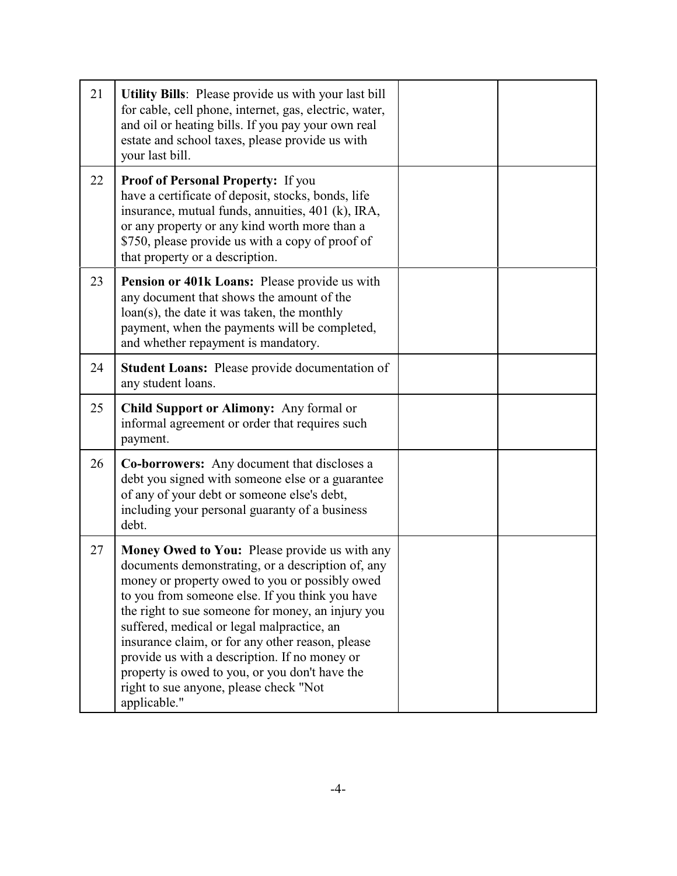| 21 | <b>Utility Bills:</b> Please provide us with your last bill<br>for cable, cell phone, internet, gas, electric, water,<br>and oil or heating bills. If you pay your own real<br>estate and school taxes, please provide us with<br>your last bill.                                            |  |
|----|----------------------------------------------------------------------------------------------------------------------------------------------------------------------------------------------------------------------------------------------------------------------------------------------|--|
| 22 | <b>Proof of Personal Property:</b> If you<br>have a certificate of deposit, stocks, bonds, life<br>insurance, mutual funds, annuities, 401 (k), IRA,<br>or any property or any kind worth more than a<br>\$750, please provide us with a copy of proof of<br>that property or a description. |  |
| 23 | Pension or 401k Loans: Please provide us with<br>any document that shows the amount of the<br>$\text{loan}(s)$ , the date it was taken, the monthly<br>payment, when the payments will be completed,<br>and whether repayment is mandatory.                                                  |  |
| 24 | <b>Student Loans:</b> Please provide documentation of<br>any student loans.                                                                                                                                                                                                                  |  |
| 25 | Child Support or Alimony: Any formal or<br>informal agreement or order that requires such<br>payment.                                                                                                                                                                                        |  |
| 26 | <b>Co-borrowers:</b> Any document that discloses a<br>debt you signed with someone else or a guarantee<br>of any of your debt or someone else's debt,<br>including your personal guaranty of a business                                                                                      |  |
|    | debt.                                                                                                                                                                                                                                                                                        |  |